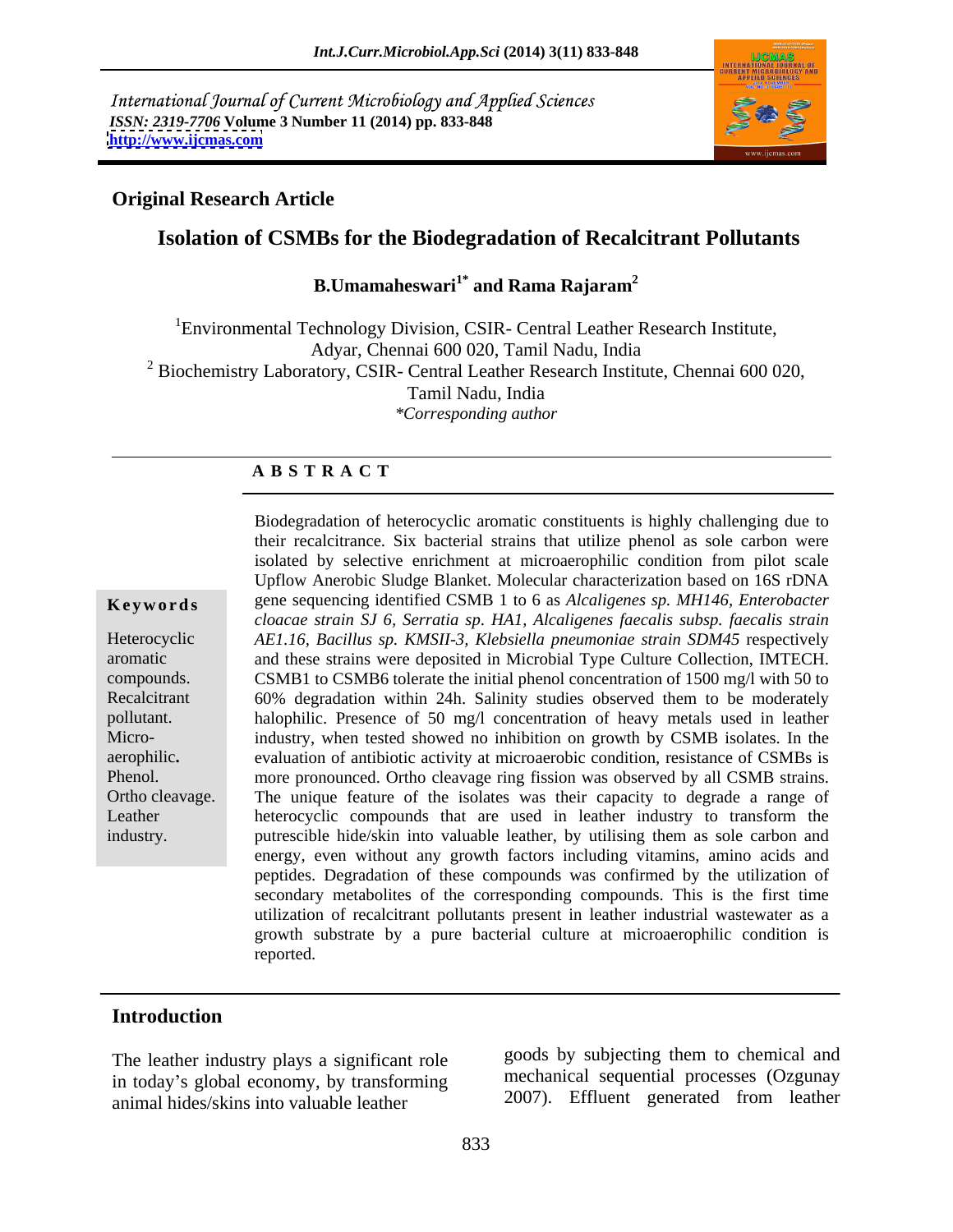International Journal of Current Microbiology and Applied Sciences *ISSN: 2319-7706* **Volume 3 Number 11 (2014) pp. 833-848 <http://www.ijcmas.com>**



### **Original Research Article**

# **Isolation of CSMBs for the Biodegradation of Recalcitrant Pollutants**

 **B.Umamaheswari1\* and Rama Rajaram<sup>2</sup>**

<sup>1</sup>Environmental Technology Division, CSIR- Central Leather Research Institute, Adyar, Chennai 600 020, Tamil Nadu, India <sup>2</sup> Biochemistry Laboratory, CSIR- Central Leather Research Institute, Chennai 600 020, Tamil Nadu, India *\*Corresponding author*

### **A B S T R A C T**

aerophilic**.** 

**Ke ywo rds** gene sequencing identified CSMB 1 to 6 as *Alcaligenes sp. MH146, Enterobacter* Heterocyclic *AE1.16, Bacillus sp. KMSII-3, Klebsiella pneumoniae strain SDM45* respectively aromatic and these strains were deposited in Microbial Type Culture Collection, IMTECH. compounds. CSMB1 to CSMB6 tolerate the initial phenol concentration of 1500 mg/l with 50 to Recalcitrant 60% degradation within 24h. Salinity studies observed them to be moderately pollutant. halophilic. Presence of 50 mg/l concentration of heavy metals used in leather Micro- industry, when tested showed no inhibition on growth by CSMB isolates. In the Phenol. **Example 10** more pronounced. Ortho cleavage ring fission was observed by all CSMB strains. Ortho cleavage. The unique feature of the isolates was their capacity to degrade a range of Leather heterocyclic compounds that are used in leather industry to transform the industry. putrescible hide/skin into valuable leather, by utilising them as sole carbon and Biodegradation of heterocyclic aromatic constituents is highly challenging due to their recalcitrance. Six bacterial strains that utilize phenol as sole carbon were isolated by selective enrichment at microaerophilic condition from pilot scale Upflow Anerobic Sludge Blanket. Molecular characterization based on 16S rDNA *cloacae strain SJ 6, Serratia sp*. *HA1, Alcaligenes faecalis subsp. faecalis strain* evaluation of antibiotic activity at microaerobic condition, resistance of CSMBs is energy, even without any growth factors including vitamins, amino acids and peptides. Degradation of these compounds was confirmed by the utilization of secondary metabolites of the corresponding compounds. This is the first time utilization of recalcitrant pollutants present in leather industrial wastewater as a growth substrate by a pure bacterial culture at microaerophilic condition is reported.

### **Introduction**

The leather industry plays a significant role in today's global economy, by transforming animal hides/skins into valuable leather

goods by subjecting them to chemical and mechanical sequential processes (Ozgunay 2007). Effluent generated from leather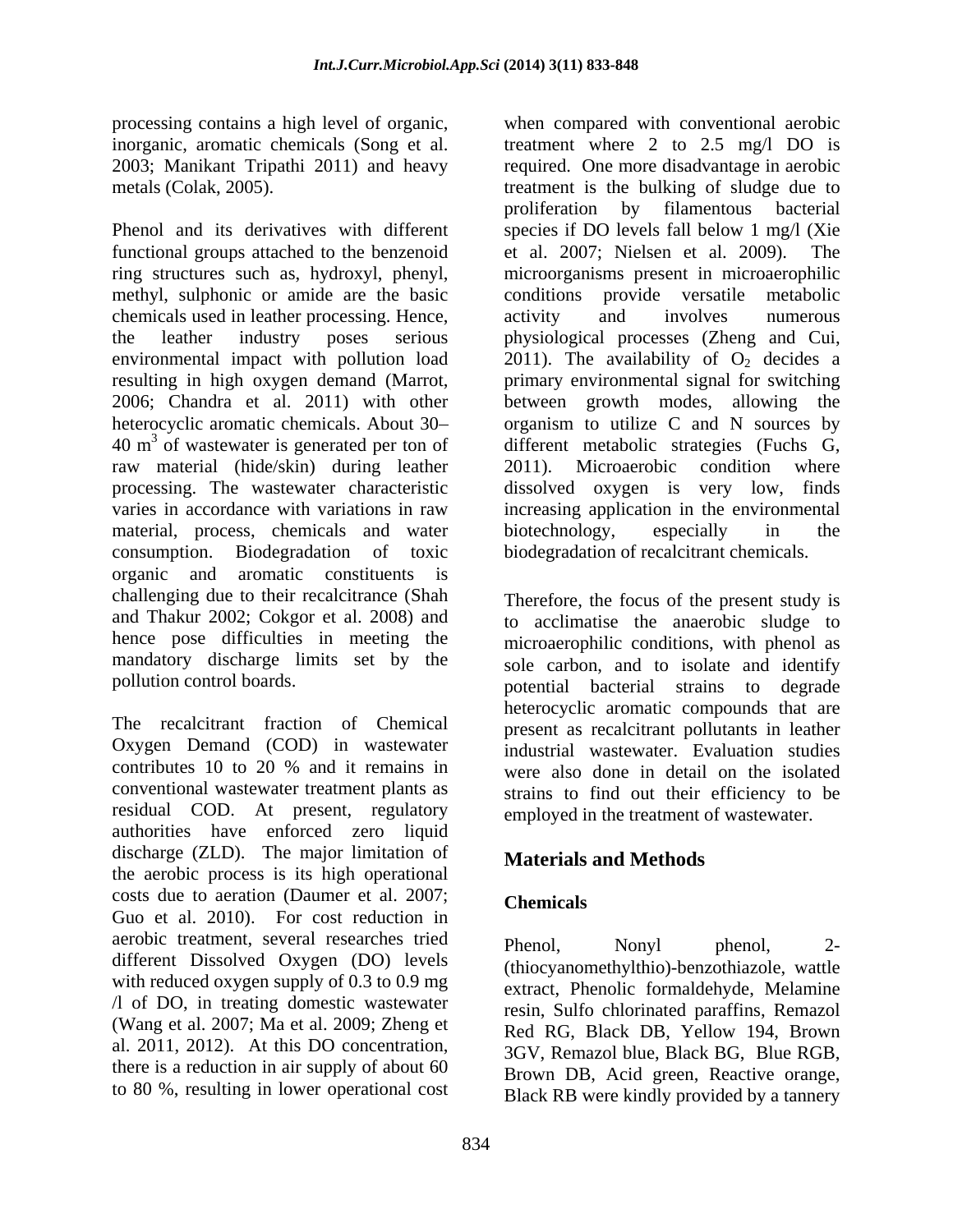processing contains a high level of organic, when compared with conventional aerobic inorganic, aromatic chemicals (Song et al. treatment where 2 to 2.5 mg/l DO is 2003; Manikant Tripathi 2011) and heavy required. One more disadvantage in aerobic metals (Colak, 2005). treatment is the bulking of sludge due to

Phenol and its derivatives with different species if DO levels fall below 1 mg/l (Xie functional groups attached to the benzenoid et al. 2007; Nielsen et al. 2009). The ring structures such as, hydroxyl, phenyl, microorganisms present in microaerophilic methyl, sulphonic or amide are the basic chemicals used in leather processing. Hence, the leather industry poses serious physiological processes (Zheng and Cui, environmental impact with pollution load  $2011$ ). The availability of  $O_2$  decides a resulting in high oxygen demand (Marrot, primary environmental signal for switching 2006; Chandra et al. 2011) with other between growth modes, allowing the heterocyclic aromatic chemicals. About 30- organism to utilize C and N sources by  $40 \text{ m}^3$  of wastewater is generated per ton of different metabolic strategies (Fuchs G, raw material (hide/skin) during leather 2011). Microaerobic condition where processing. The wastewater characteristic dissolved oxygen is very low, finds varies in accordance with variations in raw increasing application in the environmental material, process, chemicals and water biotechnology, especially in the consumption. Biodegradation of toxic biodegradation of recalcitrant chemicals. organic and aromatic constituents is challenging due to their recalcitrance (Shah and Thakur 2002; Cokgor et al. 2008) and hence pose difficulties in meeting the mandatory discharge limits set by the pollution control boards. potential bacterial strains to degrade

The recalcitrant fraction of Chemical present as recalcitrant pollutants in leather Oxygen Demand (COD) in wastewater contributes 10 to 20 % and it remains in conventional wastewater treatment plants as residual COD. At present, regulatory authorities have enforced zero liquid discharge (ZLD). The major limitation of the aerobic process is its high operational costs due to aeration (Daumer et al. 2007; Guo et al. 2010). For cost reduction in aerobic treatment, several researches tried<br>
Phenol, Nonyl phenol, 2different Dissolved Oxygen (DO) levels with reduced oxygen supply of 0.3 to 0.9 mg /l of DO, in treating domestic wastewater (Wang et al. 2007; Ma et al. 2009; Zheng et al. 2011, 2012). At this DO concentration, there is a reduction in air supply of about 60 to 80 %, resulting in lower operational cost

2011). Microaerobic condition where biotechnology, especially in the Therefore, the focus of the present study is to acclimatise the anaerobic sludge to microaerophilic conditions, with phenol as sole carbon, and to isolate and identify heterocyclic aromatic compounds that are industrial wastewater. Evaluation studies were also done in detail on the isolated

when compared with conventional aerobic treatment where 2 to 2.5 mg/l DO is

et al. 2007; Nielsen et al. 2009).

conditions provide versatile metabolic

proliferation by filamentous bacterial

activity and involves numerous

## **Materials and Methods**

## **Chemicals**

Phenol, Nonyl phenol, 2-(thiocyanomethylthio)-benzothiazole, wattle extract, Phenolic formaldehyde, Melamine resin, Sulfo chlorinated paraffins, Remazol Red RG, Black DB, Yellow 194, Brown 3GV, Remazol blue, Black BG, Blue RGB, Brown DB, Acid green, Reactive orange, Black RB were kindly provided by a tannery

strains to find out their efficiency to be employed in the treatment of wastewater.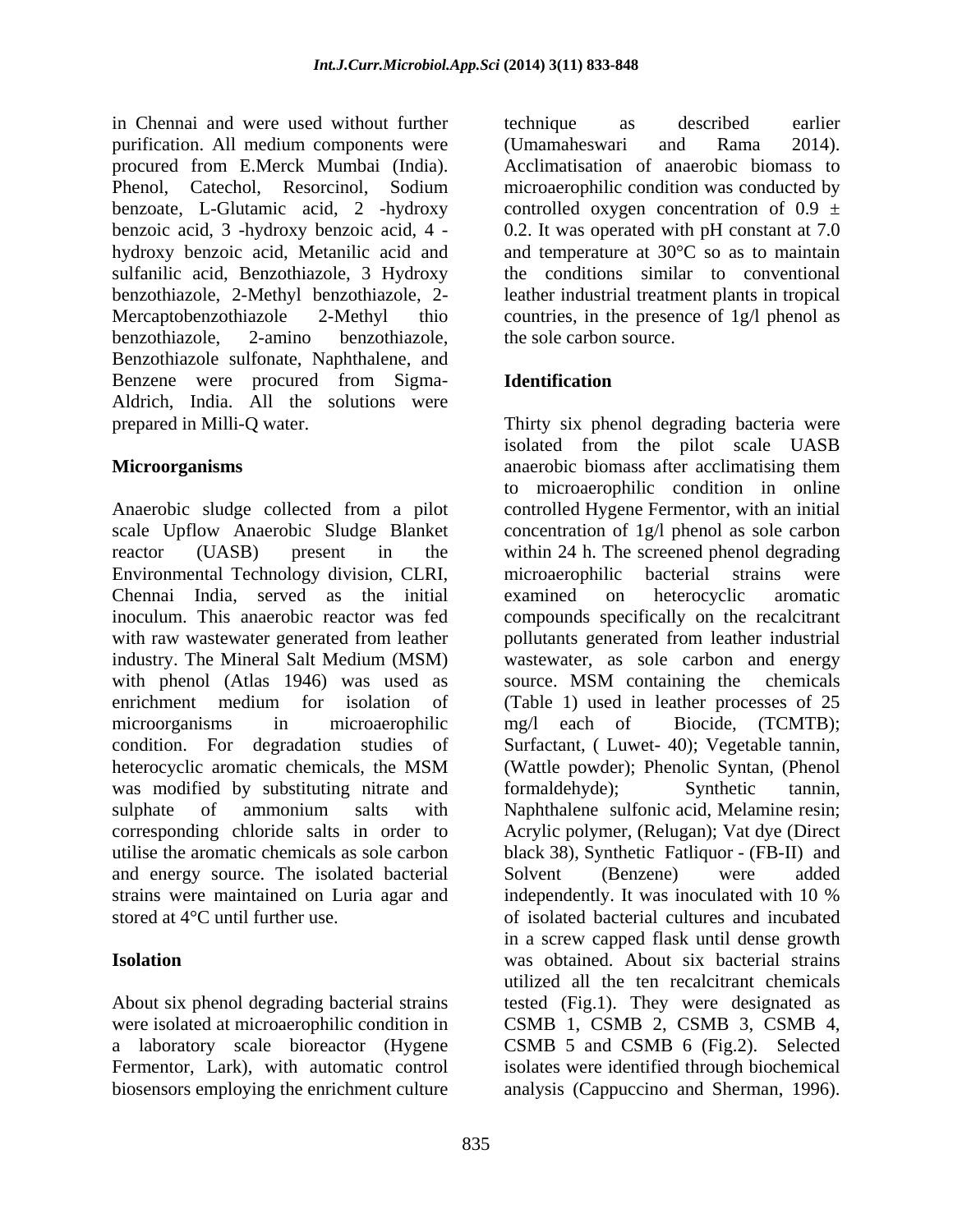in Chennai and were used without further purification. All medium components were (Umamaheswari and Rama 2014). procured from E.Merck Mumbai (India). benzoic acid, 3 -hydroxy benzoic acid, 4 hydroxy benzoic acid, Metanilic acid and sulfanilic acid, Benzothiazole, 3 Hydroxy benzothiazole, 2-amino benzothiazole, Benzothiazole sulfonate, Naphthalene, and Benzene were procured from Sigma- Aldrich, India. All the solutions were

Anaerobic sludge collected from a pilot scale Upflow Anaerobic Sludge Blanket concentration of 1g/l phenol as solecarbon reactor (UASB) present in the within 24 h. The screened phenol degrading Environmental Technology division, CLRI, Chennai India, served as the initial inoculum. This anaerobic reactor was fed compounds specifically on the recalcitrant with raw wastewater generated from leather pollutants generated from leather industrial industry. The Mineral Salt Medium (MSM) wastewater, as sole carbon and energy with phenol (Atlas 1946) was used as source. MSM containing the chemicals enrichment medium for isolation of (Table 1) used in leather processes of 25 microorganisms in microaerophilic mg/l each of Biocide, (TCMTB); condition. For degradation studies of Surfactant, ( Luwet- 40); Vegetable tannin, heterocyclic aromatic chemicals, the MSM (Wattle powder); Phenolic Syntan, (Phenol was modified by substituting nitrate and formaldehyde); Synthetic tannin, sulphate of ammonium salts with Naphthalene sulfonic acid, Melamine resin; corresponding chloride salts in order to Acrylic polymer, (Relugan); Vat dye (Direct utilise the aromatic chemicals as sole carbon black 38), Synthetic Fatliquor -(FB-II) and and energy source. The isolated bacterial strains were maintained on Luria agar and independently. It was inoculated with 10 %

biosensors employing the enrichment culture analysis (Cappuccino and Sherman, 1996).

Phenol, Catechol, Resorcinol, Sodium microaerophilic condition was conducted by benzoate, L-Glutamic acid, 2 -hydroxy controlled oxygen concentration of  $0.9 \pm$ benzothiazole, 2-Methyl benzothiazole, 2- leather industrial treatment plants in tropical Mercaptobenzothiazole 2-Methyl thio countries, in the presence of 1g/l phenol as technique as described earlier (Umamaheswari and Rama 2014). Acclimatisation of anaerobic biomass to 0.2. It was operated with pH constant at 7.0 and temperature at 30°C so as to maintain the conditions similar to conventional the sole carbon source.

## **Identification**

prepared in Milli-Q water. Thirty six phenol degrading bacteria were **Microorganisms** anaerobic biomass after acclimatising them stored at 4°C until further use. of isolated bacterial cultures and incubated **Isolation**  was obtained. About six bacterial strains About six phenol degrading bacterial strains tested (Fig.1). They were designated as were isolated at microaerophilic condition in CSMB 1, CSMB 2, CSMB 3, CSMB 4, a laboratory scale bioreactor (Hygene CSMB 5 and CSMB 6 (Fig.2). Selected Fermentor, Lark), with automatic control isolates were identified through biochemical isolated from the pilot scale UASB anaerobic biomass after acclimatising them to microaerophilic condition in online controlled Hygene Fermentor, with an initial microaerophilic bacterial strains were examined on heterocyclic aromatic source. MSM containing the chemicals mg/l each of Biocide, (TCMTB); (Wattle powder); Phenolic Syntan, (Phenol formaldehyde); Synthetic tannin, Solvent (Benzene) were added independently. It was inoculated with 10 % in a screw capped flask until dense growth utilized all the ten recalcitrant chemicals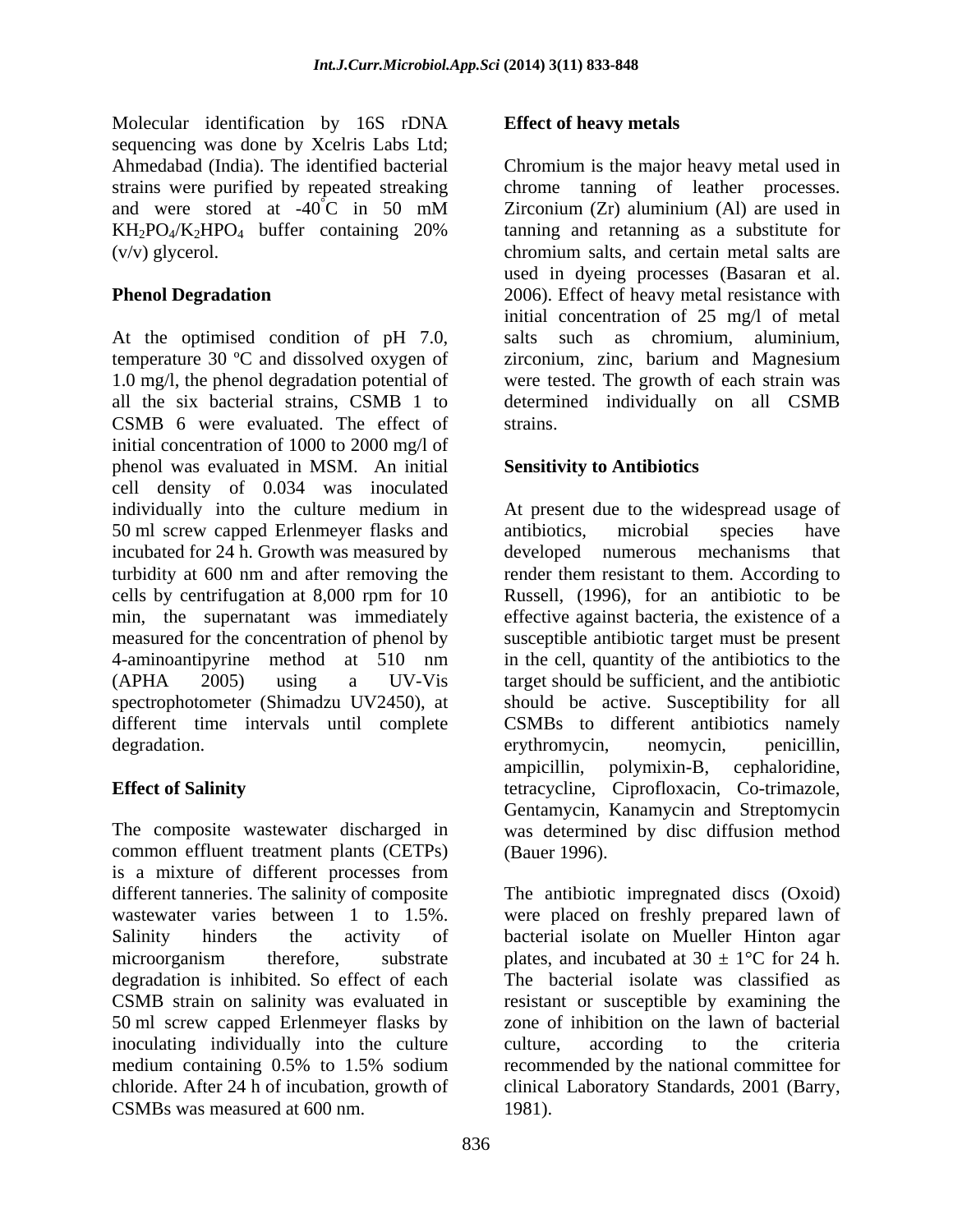Molecular identification by 16S rDNA sequencing was done by Xcelris Labs Ltd;

At the optimised condition of pH 7.0, salts such as chromium, aluminium, temperature 30 ºC and dissolved oxygen of 1.0 mg/l, the phenol degradation potential of were tested. The growth of each strain was all the six bacterial strains, CSMB 1 to determined individually on all CSMB CSMB 6 were evaluated. The effect of initial concentration of 1000 to 2000 mg/l of phenol was evaluated in MSM. An initial cell density of 0.034 was inoculated individually into the culture medium in At present due to the widespread usage of 50 ml screw capped Erlenmeyer flasks and antibiotics, microbial species have incubated for 24 h. Growth was measured by developed numerous mechanisms that turbidity at 600 nm and after removing the render them resistant to them. According to cells by centrifugation at 8,000 rpm for 10 min, the supernatant was immediately effective against bacteria, the existence of a measured for the concentration of phenol by susceptible antibiotic target must be present 4-aminoantipyrine method at 510 nm in the cell, quantity of the antibiotics to the (APHA 2005) using a UV-Vis target should be sufficient, and the antibiotic spectrophotometer (Shimadzu UV2450), at should be active. Susceptibility for all different time intervals until complete CSMBs to different antibiotics namely degradation. The experiment of the experiment of the experiment of the experiment of the experiment of the experiment of the experiment of the experiment of the experiment of the experiment of the experiment of the experim

The composite wastewater discharged in was determined by disc diffusion method common effluent treatment plants (CETPs) (Bauer 1996). is a mixture of different processes from different tanneries. The salinity of composite The antibiotic impregnated discs (Oxoid) wastewater varies between 1 to 1.5%. were placed on freshly prepared lawn of Salinity hinders the activity of bacterial isolate on Mueller Hinton agar microorganism therefore, substrate plates, and incubated at  $30 \pm 1$ °C for 24 h. degradation is inhibited. So effect of each The bacterial isolate was classified as CSMB strain on salinity was evaluated in 50 ml screw capped Erlenmeyer flasks by zone of inhibition on the lawn of bacterial inoculating individually into the culture culture, according to the criteria medium containing 0.5% to 1.5% sodium recommended by the national committee for chloride. After 24 h of incubation, growth of clinical Laboratory Standards, 2001 (Barry, CSMBs was measured at 600 nm.

## **Effect of heavy metals**

Ahmedabad (India). The identified bacterial Chromium is the major heavy metal used in strains were purified by repeated streaking chrome tanning of leather processes. and were stored at -40°C in 50 mM Zirconium (Zr) aluminium (Al) are used in  $KH_2PO_4/K_2HPO_4$  buffer containing 20% tanning and retanning as a substitute for (v/v) glycerol. chromium salts, and certain metal salts are **Phenol Degradation** 2006). Effect of heavy metal resistance with Zirconium (Zr) aluminium (Al) are used in tanning and retanning as a substitute for used in dyeing processes (Basaran et al. initial concentration of 25 mg/l of metal salts such as chromium, aluminium, zirconium, zinc, barium and Magnesium strains.

## **Sensitivity to Antibiotics**

**Effect of Salinity**  tetracycline, Ciprofloxacin, Co-trimazole, antibiotics, microbial species have developed numerous mechanisms Russell*,* (1996), for an antibiotic to be erythromycin, neomycin, penicillin, ampicillin, polymixin-B, cephaloridine, Gentamycin, Kanamycin and Streptomycin (Bauer 1996).

> resistant or susceptible by examining the culture, according to the criteria 1981).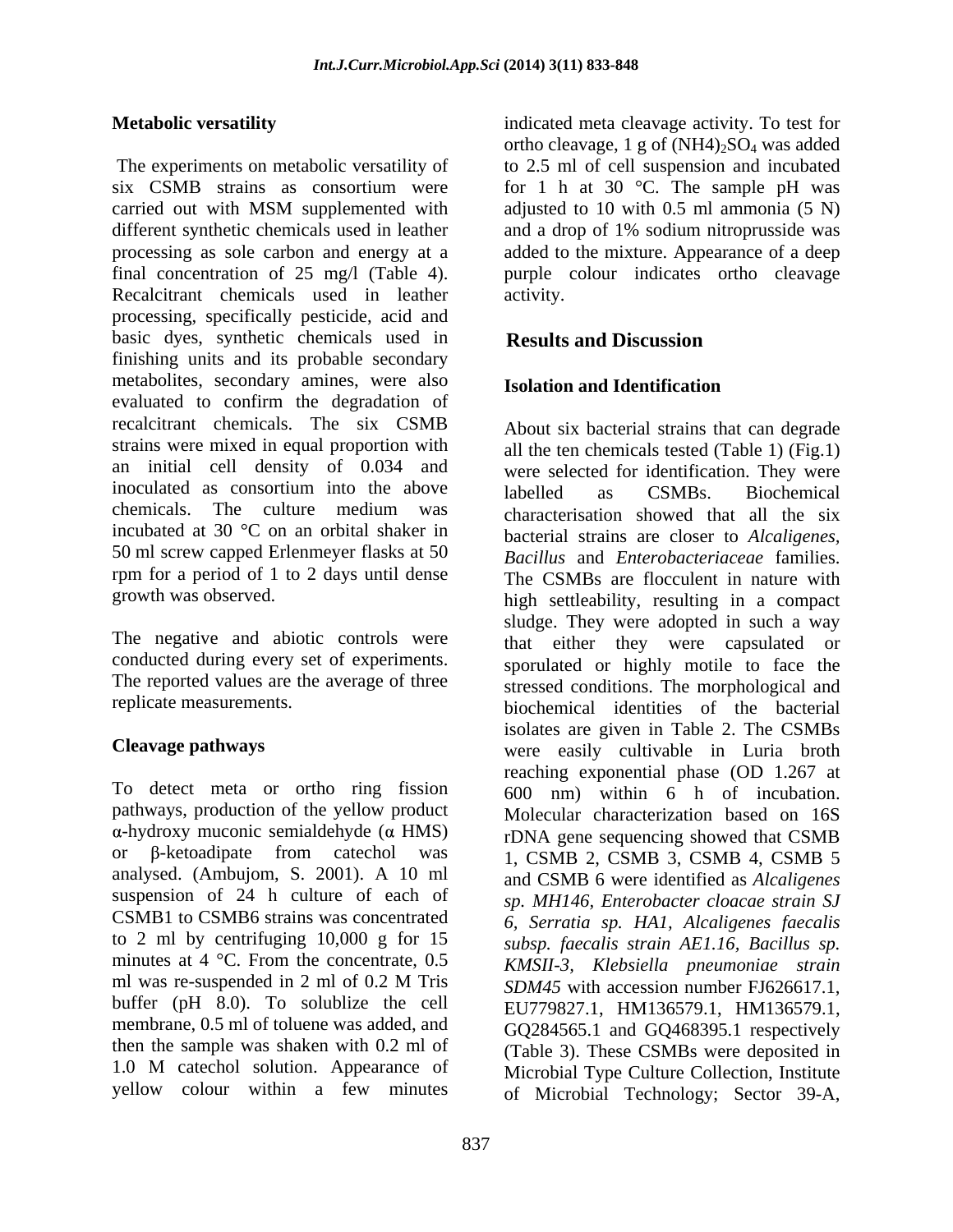six CSMB strains as consortium were for 1 h at 30 °C. The sample pH was carried out with MSM supplemented with adjusted to 10 with 0.5 ml ammonia (5 N) different synthetic chemicals used in leather and a drop of 1% sodium nitroprusside was processing as sole carbon and energy at a added to the mixture. Appearance of a deep final concentration of 25 mg/l (Table 4). purple colour indicates ortho cleavage Recalcitrant chemicals used in leather activity. processing, specifically pesticide, acid and basic dyes, synthetic chemicals used in **Results and Discussion** finishing units and its probable secondary metabolites, secondary amines, were also **Isolation and Identification** evaluated to confirm the degradation of recalcitrant chemicals. The six CSMB About six bacterial strains that can degrade strains were mixed in equal proportion with an initial cell density of 0.034 and inoculated as consortium into the above labelled as CSMBs Biochemical chemicals. The culture medium was characterisation showed that all the six incubated at 30 °C on an orbital shaker in 50 ml screw capped Erlenmeyer flasks at 50 rpm for a period of 1 to 2 days until dense

The negative and abiotic controls were conducted during every set of experiments.

To detect meta or ortho ring fission pathways, production of the yellow product  $\alpha$ -hydroxy muconic semialdehyde ( $\alpha$  HMS) analysed. (Ambujom, S. 2001). A 10 ml suspension of 24 h culture of each of CSMB1 to CSMB6 strains was concentrated to 2 ml by centrifuging 10,000 g for 15 minutes at 4 °C. From the concentrate, 0.5 buffer (pH 8.0). To solublize the cell membrane, 0.5 ml of toluene was added, and 1.0 M catechol solution. Appearance of

**Metabolic versatility indicated meta cleavage activity.** To test for The experiments on metabolic versatility of to 2.5 ml of cell suspension and incubated ortho cleavage, 1 g of  $(NH4)_2SO_4$  was added adjusted to 10 with 0.5 ml ammonia (5 N) activity.

## **Results and Discussion**

## **Isolation and Identification**

growth was observed. high settleability, resulting in a compact The reported values are the average of three stressed conditions. The morphological and replicate measurements. biochemical identities of the bacterial **Cleavage pathways** were easily cultivable in Luria broth or  $\beta$ -ketoadipate from catechol was 1, CSMB 2, CSMB 3, CSMB 4, CSMB 5 ml was re-suspended in 2 ml of 0.2 M Tris  $SDM45$  with accession number FJ626617.1. then the sample was shaken with 0.2 ml of (Table 3). These CSMBs were deposited in yellow colour within a few minutes of Microbial Technology; Sector 39-A, all the ten chemicals tested (Table 1) (Fig.1) were selected for identification. They were labelled as CSMBs. Biochemical characterisation showed that all the six bacterial strains are closer to *Alcaligenes, Bacillus* and *Enterobacteriaceae* families. The CSMBs are flocculent in nature with sludge. They were adopted in such a way that either they were capsulated or sporulated or highly motile to face the isolates are given in Table 2. The CSMBs reaching exponential phase (OD 1.267 at 600 nm) within 6 h of incubation. Molecular characterization based on 16S rDNA gene sequencing showed that CSMB and CSMB 6 were identified as *Alcaligenes sp. MH146, Enterobacter cloacae strain SJ 6, Serratia sp. HA1, Alcaligenes faecalis subsp. faecalis strain AE1.16, Bacillus sp. KMSII-3, Klebsiella pneumoniae strain SDM45* with accession number FJ626617.1, EU779827.1, HM136579.1, HM136579.1, GQ284565.1 and GQ468395.1 respectively Microbial Type Culture Collection, Institute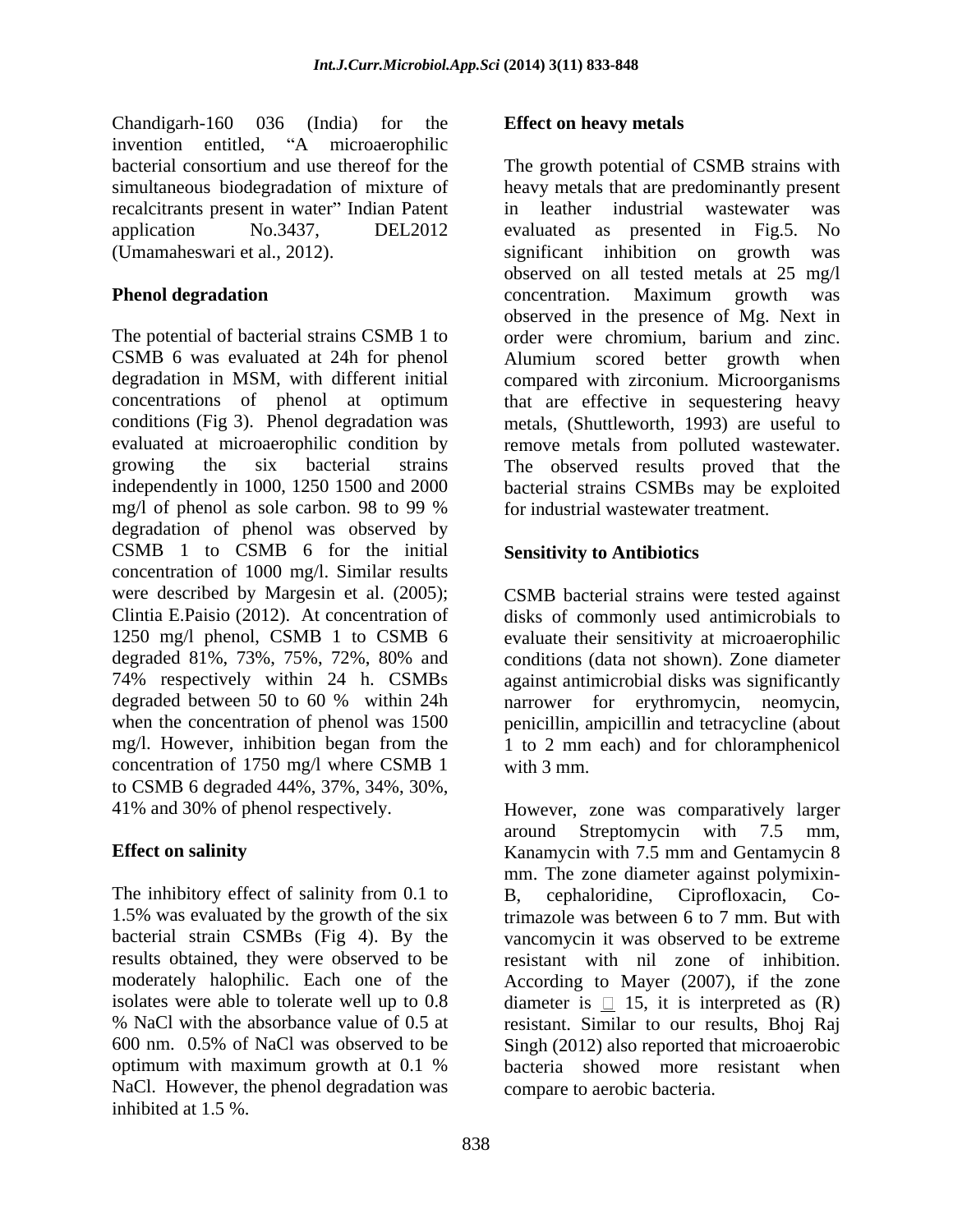Chandigarh-160 036 (India) for the invention entitled, "A microaerophilic invention entitled, "A microaerophilic recalcitrants present in water" Indian Patent in leather industrial wastewater was

The potential of bacterial strains CSMB 1 to order were chromium, barium and zinc. CSMB 6 was evaluated at 24h for phenol Alumium scored better growth when degradation in MSM, with different initial compared with zirconium. Microorganisms concentrations of phenol at optimum that are effective in sequestering heavy conditions (Fig 3). Phenol degradation was metals, (Shuttleworth, 1993) are useful to evaluated at microaerophilic condition by remove metals from polluted wastewater. growing the six bacterial strains The observed results proved that the independently in 1000, 1250 1500 and 2000 bacterial strains CSMBs may be exploited mg/l of phenol as sole carbon. 98 to 99 % for industrial wastewater treatment. degradation of phenol was observed by CSMB 1 to CSMB 6 for the initial concentration of 1000 mg/l. Similar results were described by Margesin et al. (2005); Clintia E.Paisio (2012). At concentration of disks of commonly used antimicrobials to 1250 mg/l phenol, CSMB 1 to CSMB 6 evaluate their sensitivity at microaerophilic degraded 81%, 73%, 75%, 72%, 80% and conditions (data not shown). Zone diameter 74% respectively within 24 h. CSMBs against antimicrobial disks was significantly degraded between 50 to 60 % within 24h narrower for erythromycin, neomycin, when the concentration of phenol was 1500 penicillin, ampicillin and tetracycline (about mg/l. However, inhibition began from the 1 to 2 mm each) and for chloramphenicol concentration of 1750 mg/l where CSMB 1 with 3 mm. to CSMB 6 degraded 44%, 37%, 34%, 30%,

The inhibitory effect of salinity from 0.1 to B. cephaloridine. Ciprofloxacin. Cobacterial strain CSMBs (Fig 4). By the NaCl. However, the phenol degradation was inhibited at 1.5 %.

### **Effect on heavy metals**

bacterial consortium and use thereof for the The growth potential of CSMB strains with simultaneous biodegradation of mixture of heavy metals that are predominantly present application No.3437, DEL2012 evaluated as presented in Fig.5. No (Umamaheswari et al., 2012). significant inhibition on growth was **Phenol degradation Example 20 CONCO CONCO CONCO CONCO CONCO CONCO CONCO CONCO CONCO CONCO CONCO CONCO CONCO CONCO CONCO CONCO CONCO CONCO CONCO CONCO CONCO CONCO CONCO CON** in leather industrial wastewater was observed on all tested metals at 25 mg/l concentration. Maximum growth was observed in the presence of Mg. Next in for industrial wastewater treatment.

### **Sensitivity to Antibiotics**

CSMB bacterial strains were tested against with 3 mm.

41% and 30% of phenol respectively. However, zone was comparatively larger **Effect on salinity Effect on salinity Kanamycin with 7.5 mm and Gentamycin 8** 1.5% was evaluated by the growth of the six trimazole was between 6 to 7 mm. But with results obtained, they were observed to be resistant with nil zone of inhibition. moderately halophilic. Each one of the According to Mayer (2007), if the zone isolates were able to tolerate well up to 0.8 diameter is  $\Box$  15, it is interpreted as (R) % NaCl with the absorbance value of 0.5 at resistant. Similar to our results, Bhoj Raj 600 nm. 0.5% of NaCl was observed to be Singh (2012) also reported that microaerobic optimum with maximum growth at 0.1 % bacteria showed more resistant when around Streptomycin with 7.5 mm, mm. The zone diameter against polymixin- B, cephaloridine, Ciprofloxacin, Covancomycin it was observed to be extreme compare to aerobic bacteria.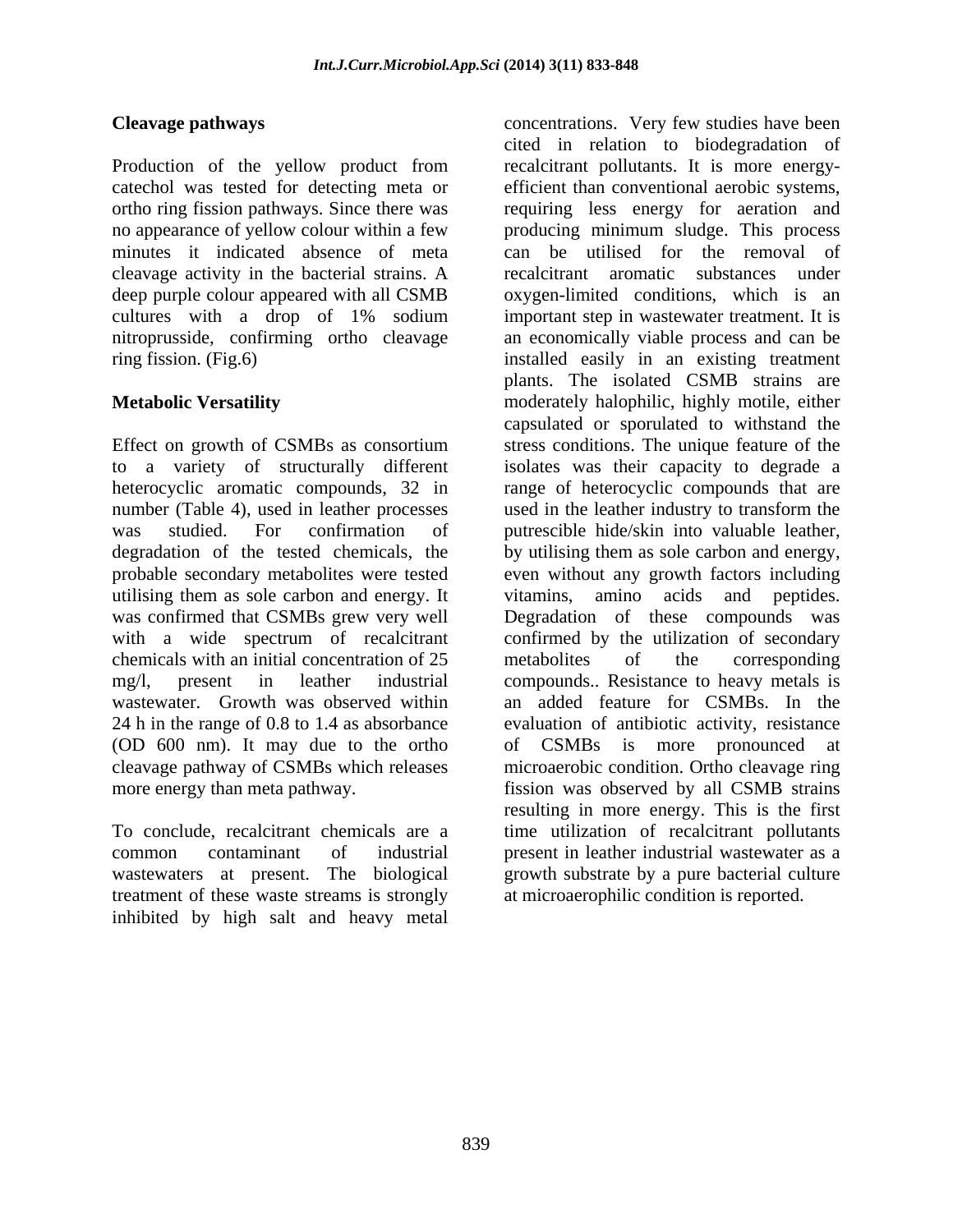Production of the yellow product from recalcitrant pollutants. It is more energycatechol was tested for detecting meta or efficient than conventional aerobic systems, ortho ring fission pathways. Since there was requiring less energy for aeration and no appearance of yellow colour within a few producing minimum sludge. This process minutes it indicated absence of meta can be utilised for the removal of cleavage activity in the bacterial strains. A deep purple colour appeared with all CSMB oxygen-limited conditions, which is an cultures with a drop of 1% sodium important step in wastewater treatment. It is nitroprusside, confirming ortho cleavage an economically viable process and can be ring fission. (Fig.6) installed easily in an existing treatment

Effect on growth of CSMBs as consortium stress conditions. The unique feature of the to a variety of structurally different isolates was their capacity to degrade a heterocyclic aromatic compounds, 32 in ange of heterocyclic compounds that are number (Table 4), used in leather processes used in the leather industry to transform the was studied. For confirmation of putrescible hide/skin into valuable leather, degradation of the tested chemicals, the by utilising them as sole carbon and energy, probable secondary metabolites were tested even without any growth factors including utilising them as sole carbon and energy. It vitamins, amino acids and peptides. was confirmed that CSMBs grew very well Degradation of these compounds was with a wide spectrum of recalcitrant confirmed by the utilization of secondary chemicals with an initial concentration of 25 mg/l, present in leather industrial compounds.. Resistance to heavy metals is wastewater. Growth was observed within an added feature for CSMBs. In the 24 h in the range of 0.8 to 1.4 as absorbance evaluation of antibiotic activity, resistance (OD 600 nm). It may due to the ortho of CSMBs is more pronounced at cleavage pathway of CSMBs which releases microaerobic condition. Ortho cleavage ring more energy than meta pathway. fission was observed by all CSMB strains

treatment of these waste streams is strongly inhibited by high salt and heavy metal

**Cleavage pathways** concentrations. Very few studies have been **Metabolic Versatility** moderately halophilic, highly motile, either To conclude, recalcitrant chemicals are a time utilization of recalcitrant pollutants common contaminant of industrial present in leather industrial wastewater as a wastewaters at present. The biological growth substrate by a pure bacterial culture cited in relation to biodegradation of can be utilised for the removal recalcitrant aromatic substances under plants. The isolated CSMB strains are capsulated or sporulated to withstand the vitamins, amino acids and peptides. metabolites of the corresponding of CSMBs is more pronounced resulting in more energy. This is the first at microaerophilic condition is reported.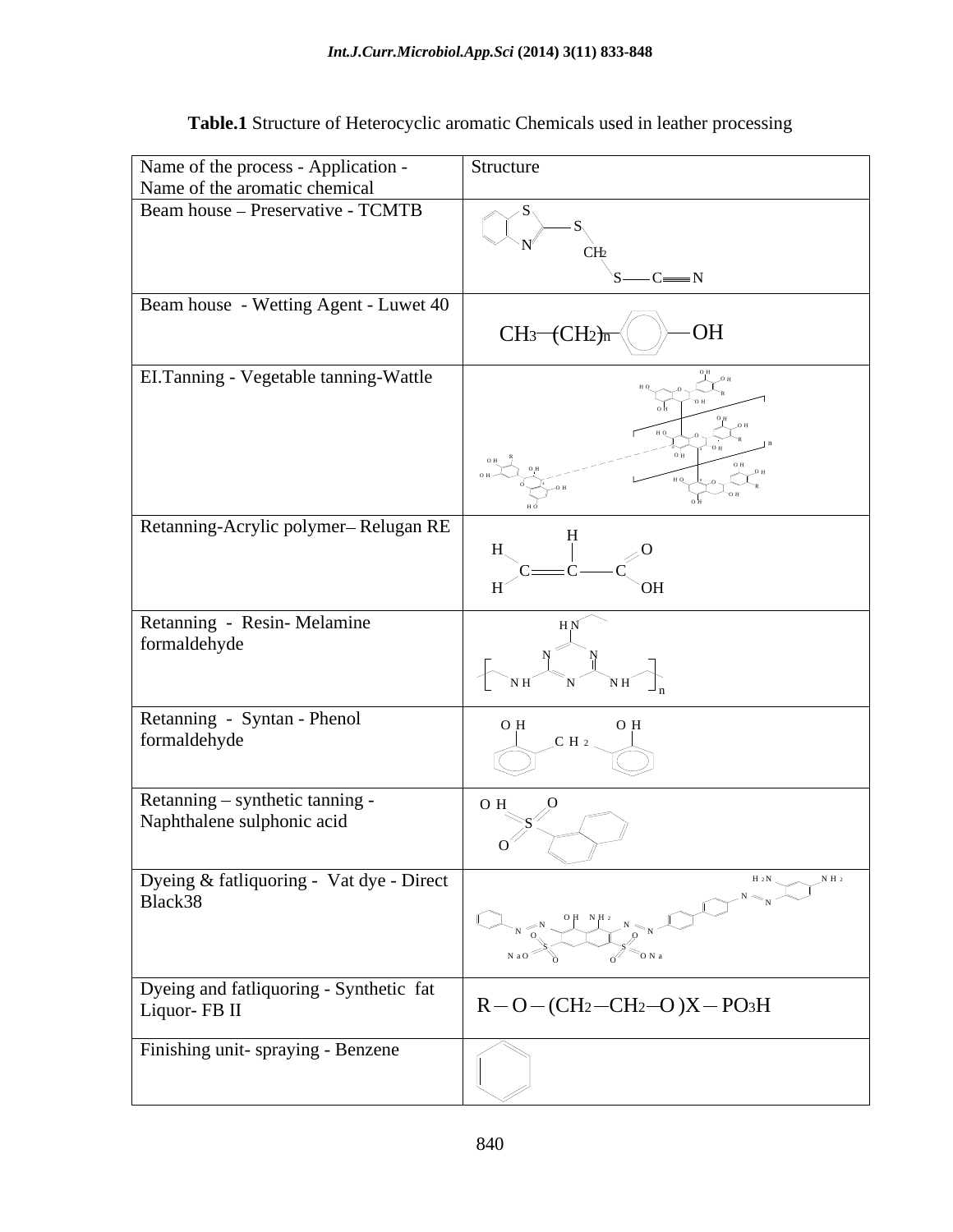| Structure<br>$\mathscr{D}\rightarrow S$<br>$S \rightarrow C \rightarrow N$<br>$-OH$<br>$CH_3$ (CH <sub>2</sub> )n <sup>{</sup><br>$\bigcup_{\nu \in \mathbb{Z}}^{\nu_{\mathrm{B}}}$<br>$\bigcup_{0 \text{ H}}^{0 \text{ H}} \bigcup_{\mathbf{H}}^{0 \text{ H}}$<br>N <sub>H</sub><br>$O$ H<br>O H<br>O H<br>$\overline{O}$<br>$\cup$<br>$\searrow$<br>where $\left(\bigcup_{N \subset N \atop N \subset N_1} \bigcap_{N \subset N \atop N_2 \le N_1} \bigcap_{N \subset N} \bigcap_{N \subset N} \bigcap_{N \subset N} \bigcap_{N \subset N} \bigcap_{N \subset N} \bigcap_{N \subset N}$<br>$R-O-(CH_2-CH_2-O)X-PO_3H$ |                                                                      |  |
|-------------------------------------------------------------------------------------------------------------------------------------------------------------------------------------------------------------------------------------------------------------------------------------------------------------------------------------------------------------------------------------------------------------------------------------------------------------------------------------------------------------------------------------------------------------------------------------------------------------------------|----------------------------------------------------------------------|--|
| Beam house - Preservative - TCMTB<br>Beam house - Wetting Agent - Luwet 40<br>EI.Tanning - Vegetable tanning-Wattle<br>Retanning-Acrylic polymer-Relugan RE<br>Retanning - Resin-Melamine<br>formaldehyde<br>formaldehyde<br>Finishing unit-spraying - Benzene                                                                                                                                                                                                                                                                                                                                                          | Name of the process - Application -<br>Name of the aromatic chemical |  |
| Retanning - Syntan - Phenol<br>Retanning – synthetic tanning -<br>Naphthalene sulphonic acid<br>Dyeing & fatliquoring - Vat dye - Direct<br>Black38<br>Dyeing and fatliquoring - Synthetic fat<br>Liquor- FB II                                                                                                                                                                                                                                                                                                                                                                                                         |                                                                      |  |
|                                                                                                                                                                                                                                                                                                                                                                                                                                                                                                                                                                                                                         |                                                                      |  |
|                                                                                                                                                                                                                                                                                                                                                                                                                                                                                                                                                                                                                         |                                                                      |  |
|                                                                                                                                                                                                                                                                                                                                                                                                                                                                                                                                                                                                                         |                                                                      |  |
|                                                                                                                                                                                                                                                                                                                                                                                                                                                                                                                                                                                                                         |                                                                      |  |
|                                                                                                                                                                                                                                                                                                                                                                                                                                                                                                                                                                                                                         |                                                                      |  |
|                                                                                                                                                                                                                                                                                                                                                                                                                                                                                                                                                                                                                         |                                                                      |  |
|                                                                                                                                                                                                                                                                                                                                                                                                                                                                                                                                                                                                                         |                                                                      |  |
|                                                                                                                                                                                                                                                                                                                                                                                                                                                                                                                                                                                                                         |                                                                      |  |
|                                                                                                                                                                                                                                                                                                                                                                                                                                                                                                                                                                                                                         |                                                                      |  |

# **Table.1** Structure of Heterocyclic aromatic Chemicals used in leather processing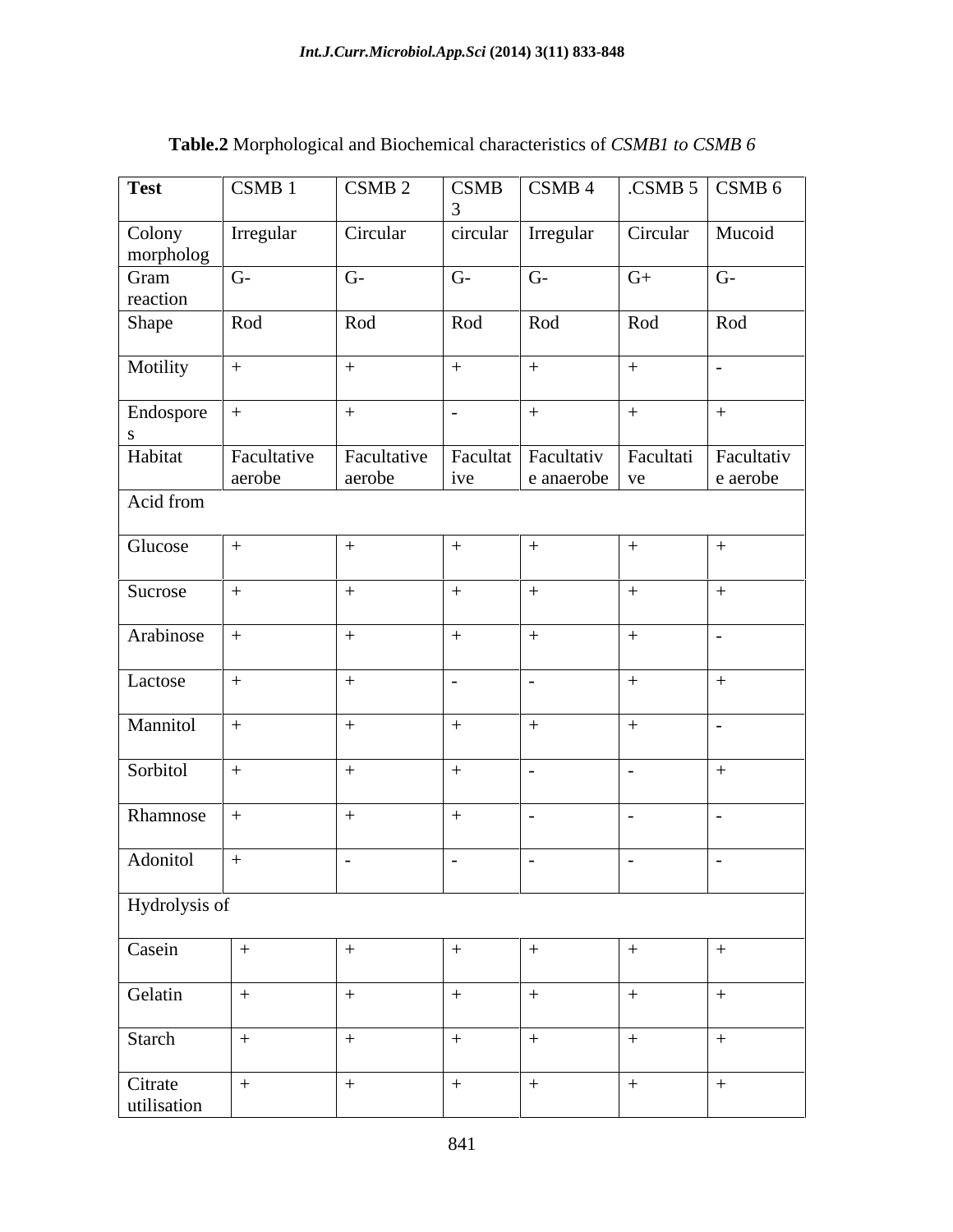| <b>Test</b>            | CSMB 1      | CSMB 2                | <b>CSMB</b>      | $\overline{\text{CSMB 4}}$                     |          | $\overline{\text{CSMB 5}}$ $\overline{\text{CSMB 6}}$ |
|------------------------|-------------|-----------------------|------------------|------------------------------------------------|----------|-------------------------------------------------------|
| Colony<br>morpholog    | Irregular   | Circular              |                  | circular   Irregular                           | Circular | Mucoid                                                |
| Gram                   | $G-$        | $G-$                  | $G-$             | $G-$                                           | $G+$     | $G-$                                                  |
| reaction               |             |                       |                  |                                                |          |                                                       |
| Shape                  | Rod         | Rod                   | Rod              | Rod                                            | Rod      | Rod                                                   |
| Motility               |             | $^{+}$                | $+$              | $+$                                            | $+$      |                                                       |
| Endospore +            |             | $+$                   | $\sim$ 100 $\pm$ | $+$                                            | $+$      | $+$                                                   |
| Habitat                | Facultative | Facultative<br>aerobe |                  | Facultat   Facultativ   Facultati   Facultativ |          | e aerobe                                              |
| Acid from              | aerobe      |                       | ive              | e anaerobe ve                                  |          |                                                       |
|                        |             |                       |                  |                                                |          |                                                       |
| Glucose                | $+$         |                       |                  |                                                |          |                                                       |
|                        |             |                       |                  |                                                |          |                                                       |
| Sucrose                | $+$         | $+$                   | $+$ .            | $+$                                            | $\pm$    |                                                       |
| Arabinose              |             | $+$                   | $+$ .            | $+$                                            | $+$      |                                                       |
| Lactose                | $+$         | $+$                   | $ -$             | $\sim$                                         | $+$      |                                                       |
| Mannitol               |             | $+$                   |                  | $+$                                            | $+$      |                                                       |
| Sorbitol               | $+$         | $+$                   | $+$              |                                                | $\sim$   | $+$                                                   |
|                        |             |                       |                  |                                                |          |                                                       |
| Rhamnose               |             | $+$                   | $+$              | $\sim$ $\sim$                                  |          |                                                       |
| Adonitol               | $+$         |                       | $\sim$           |                                                |          |                                                       |
|                        |             |                       |                  |                                                |          |                                                       |
| Hydrolysis of          |             |                       |                  |                                                |          |                                                       |
| Casein                 | $+$         | $+$                   |                  | $+$                                            | $^{+}$   |                                                       |
|                        |             |                       |                  |                                                |          |                                                       |
| Gelatin                | $+$         | $+$                   | $+$ .            | $+$                                            | $+$      | $+$                                                   |
| Starch                 |             | $+$                   | $+$              | $+$                                            | $+$      | $+$                                                   |
| Citrate<br>utilisation | $+$         | $+$                   | $+$              | $+$                                            | $+$      | $+$                                                   |

## **Table.2** Morphological and Biochemical characteristics of *CSMB1 to CSMB 6*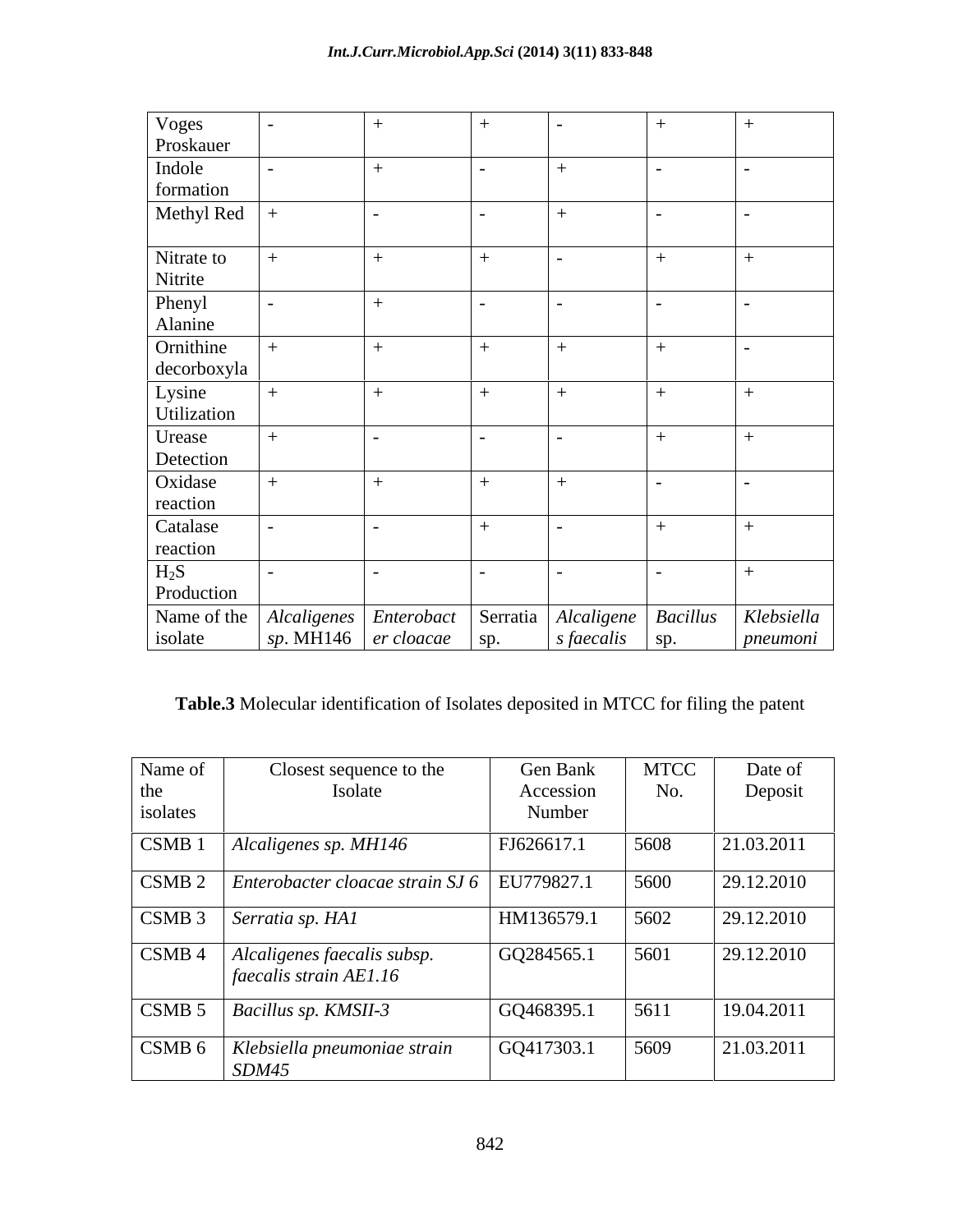| Voges<br>Proskauer                                                 |                                                  |                          |                                                     |                        |
|--------------------------------------------------------------------|--------------------------------------------------|--------------------------|-----------------------------------------------------|------------------------|
|                                                                    |                                                  |                          |                                                     |                        |
| Indole                                                             |                                                  | $\overline{\phantom{0}}$ |                                                     |                        |
| formation                                                          |                                                  |                          |                                                     |                        |
| Methyl Red                                                         |                                                  | $\overline{\phantom{0}}$ |                                                     |                        |
| Nitrate to<br>Nitrite<br>Phenyl<br>Alanine                         |                                                  |                          |                                                     |                        |
|                                                                    |                                                  |                          |                                                     |                        |
| Ornithine<br>decorboxyla                                           |                                                  |                          |                                                     |                        |
| Lysine<br>Utilization                                              |                                                  |                          |                                                     |                        |
| Urease<br>Detection<br>Oxidase<br>reaction<br>Catalase<br>reaction |                                                  |                          |                                                     |                        |
|                                                                    |                                                  |                          |                                                     |                        |
|                                                                    |                                                  |                          |                                                     |                        |
| $H_2S$<br>Production                                               |                                                  | $\overline{\phantom{0}}$ |                                                     |                        |
| Name of the Alcaligenes Enterobact Serratia<br>isolate             | $\Big $ sp. MH146 $\Big $ er cloacae $\Big $ sp. |                          | Alcaligene Bacillus<br>$\int$ s faecalis $\int$ sp. | Klebsiella<br>pneumoni |

# **Table.3** Molecular identification of Isolates deposited in MTCC for filing the patent

| Name of           | Closest sequence to the                                 | Gen Bank   | <b>MTCC</b> | Date of    |
|-------------------|---------------------------------------------------------|------------|-------------|------------|
| the               | Isolate                                                 | Accession  | No.         | Deposit    |
| isolates          |                                                         | Number     |             |            |
| CSMB 1            | Alcaligenes sp. MH146                                   | FJ626617.1 | 5608        | 21.03.2011 |
| CSMB <sub>2</sub> | Enterobacter cloacae strain $SJ 6$   EU779827.1         |            | 5600        | 29.12.2010 |
| CSMB 3            | Serratia sp. HA1                                        | HM136579.1 | 5602        | 29.12.2010 |
| CSMB 4            | Alcaligenes faecalis subsp.<br>faecalis strain $AE1.16$ | GQ284565.1 | 5601        | 29.12.2010 |
| CSMB <sub>5</sub> | Bacillus sp. KMSII-3                                    | GQ468395.1 | 5611        | 19.04.2011 |
| CSMB 6            | Klebsiella pneumoniae strain<br>SDM45                   | GQ417303.1 | 5609        | 21.03.2011 |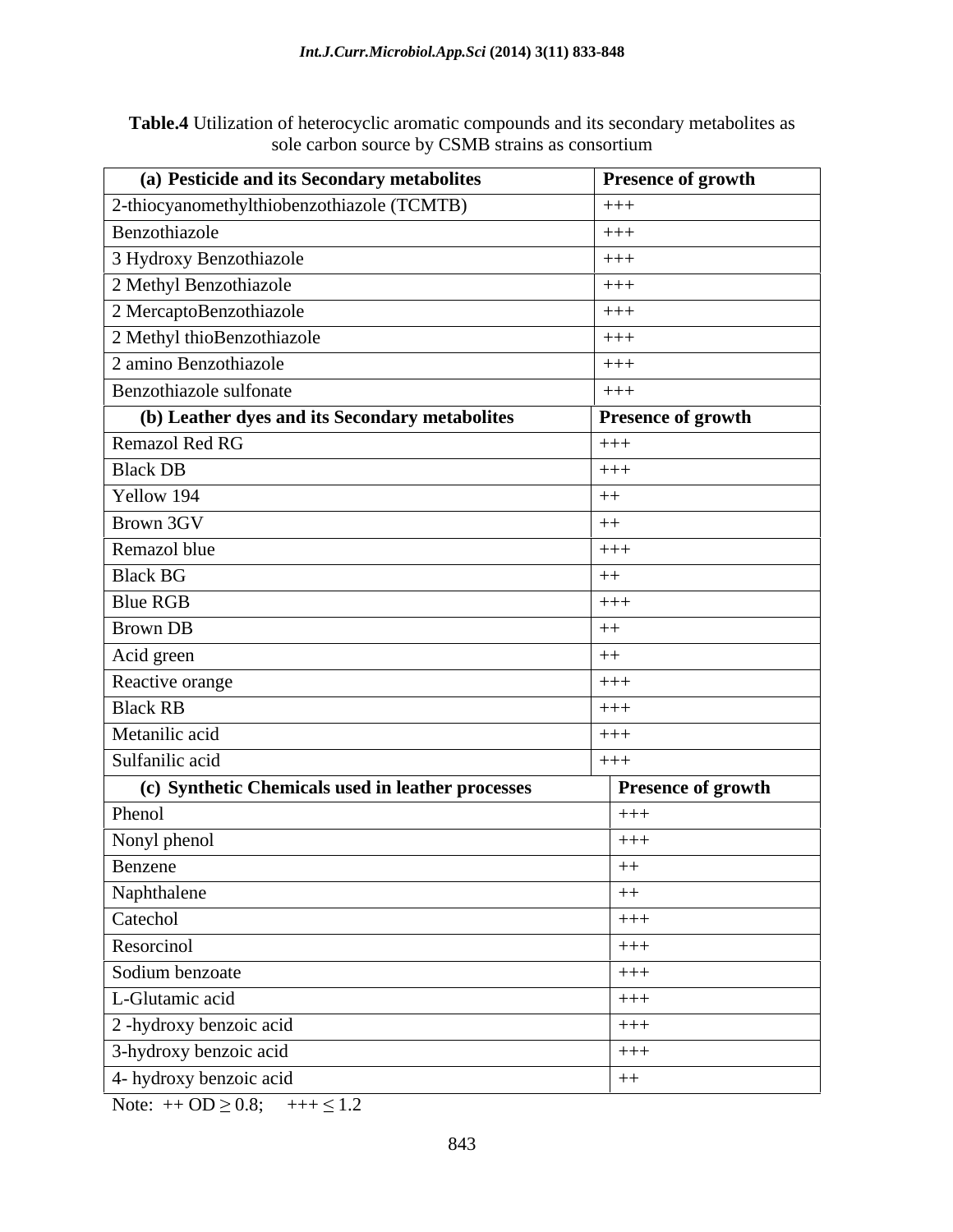| Table.4 Utiliz<br>on of heterocyclic aromatic com<br>mpounds and its secondary metabolites as |  |  |
|-----------------------------------------------------------------------------------------------|--|--|
| $\sim$ $\sim$ $\sim$<br>$\sim$ by CSMB strains as consortium<br>arn∩n<br><b>SO 11 11</b>      |  |  |

| $+++$<br>$+++$<br>$+++$<br>$+++$<br>$+++$<br>$+++$<br>$+++$<br>$+++$<br>(b) Leather dyes and its Secondary metabolites<br>Presence of growth<br>$+++$<br>$+++$<br>$++$<br>$^{++}$<br>$+++$<br>$++$<br>$+++$<br>$++$<br>Acid green<br>$++$<br>$+++$<br>$+++$<br>$++++$<br>$+++$<br>(c) Synthetic Chemicals used in leather processes<br><b>Presence of growth</b><br>$+++$<br>Nonyl phenol<br>$+++$<br>$^{++}$<br>Naphthalene<br>$++$<br>$+++$<br>$+++$<br>$+++$<br>$+++$<br>2-hydroxy benzoic acid<br>$+++$<br>3-hydroxy benzoic acid<br>$+++$<br>$++$ | (a) Pesticide and its Secondary metabolites | <b>Presence of growth</b> |
|--------------------------------------------------------------------------------------------------------------------------------------------------------------------------------------------------------------------------------------------------------------------------------------------------------------------------------------------------------------------------------------------------------------------------------------------------------------------------------------------------------------------------------------------------------|---------------------------------------------|---------------------------|
|                                                                                                                                                                                                                                                                                                                                                                                                                                                                                                                                                        | 2-thiocyanomethylthiobenzothiazole (TCMTB)  |                           |
|                                                                                                                                                                                                                                                                                                                                                                                                                                                                                                                                                        | Benzothiazole                               |                           |
|                                                                                                                                                                                                                                                                                                                                                                                                                                                                                                                                                        | 3 Hydroxy Benzothiazole                     |                           |
|                                                                                                                                                                                                                                                                                                                                                                                                                                                                                                                                                        | 2 Methyl Benzothiazole                      |                           |
|                                                                                                                                                                                                                                                                                                                                                                                                                                                                                                                                                        | 2 MercaptoBenzothiazole                     |                           |
|                                                                                                                                                                                                                                                                                                                                                                                                                                                                                                                                                        | 2 Methyl thioBenzothiazole                  |                           |
|                                                                                                                                                                                                                                                                                                                                                                                                                                                                                                                                                        | 2 amino Benzothiazole                       |                           |
|                                                                                                                                                                                                                                                                                                                                                                                                                                                                                                                                                        | Benzothiazole sulfonate                     |                           |
|                                                                                                                                                                                                                                                                                                                                                                                                                                                                                                                                                        |                                             |                           |
|                                                                                                                                                                                                                                                                                                                                                                                                                                                                                                                                                        | Remazol Red RG                              |                           |
|                                                                                                                                                                                                                                                                                                                                                                                                                                                                                                                                                        | <b>Black DB</b>                             |                           |
|                                                                                                                                                                                                                                                                                                                                                                                                                                                                                                                                                        | Yellow 194                                  |                           |
|                                                                                                                                                                                                                                                                                                                                                                                                                                                                                                                                                        | Brown 3GV                                   |                           |
|                                                                                                                                                                                                                                                                                                                                                                                                                                                                                                                                                        | Remazol blue                                |                           |
|                                                                                                                                                                                                                                                                                                                                                                                                                                                                                                                                                        | <b>Black BG</b>                             |                           |
|                                                                                                                                                                                                                                                                                                                                                                                                                                                                                                                                                        | <b>Blue RGB</b>                             |                           |
|                                                                                                                                                                                                                                                                                                                                                                                                                                                                                                                                                        | Brown DB                                    |                           |
|                                                                                                                                                                                                                                                                                                                                                                                                                                                                                                                                                        |                                             |                           |
|                                                                                                                                                                                                                                                                                                                                                                                                                                                                                                                                                        | Reactive orange                             |                           |
|                                                                                                                                                                                                                                                                                                                                                                                                                                                                                                                                                        | <b>Black RB</b>                             |                           |
|                                                                                                                                                                                                                                                                                                                                                                                                                                                                                                                                                        | Metanilic acid                              |                           |
|                                                                                                                                                                                                                                                                                                                                                                                                                                                                                                                                                        | Sulfanilic acid                             |                           |
|                                                                                                                                                                                                                                                                                                                                                                                                                                                                                                                                                        |                                             |                           |
|                                                                                                                                                                                                                                                                                                                                                                                                                                                                                                                                                        | Phenol                                      |                           |
|                                                                                                                                                                                                                                                                                                                                                                                                                                                                                                                                                        |                                             |                           |
|                                                                                                                                                                                                                                                                                                                                                                                                                                                                                                                                                        | Benzene                                     |                           |
|                                                                                                                                                                                                                                                                                                                                                                                                                                                                                                                                                        |                                             |                           |
|                                                                                                                                                                                                                                                                                                                                                                                                                                                                                                                                                        | Catechol                                    |                           |
|                                                                                                                                                                                                                                                                                                                                                                                                                                                                                                                                                        | Resorcinol                                  |                           |
|                                                                                                                                                                                                                                                                                                                                                                                                                                                                                                                                                        | Sodium benzoate                             |                           |
|                                                                                                                                                                                                                                                                                                                                                                                                                                                                                                                                                        | L-Glutamic acid                             |                           |
|                                                                                                                                                                                                                                                                                                                                                                                                                                                                                                                                                        |                                             |                           |
|                                                                                                                                                                                                                                                                                                                                                                                                                                                                                                                                                        |                                             |                           |
|                                                                                                                                                                                                                                                                                                                                                                                                                                                                                                                                                        | 4- hydroxy benzoic acid                     |                           |

Note:  $+$  OD  $\geq$  0.8;  $+$  + +  $\leq$  1.2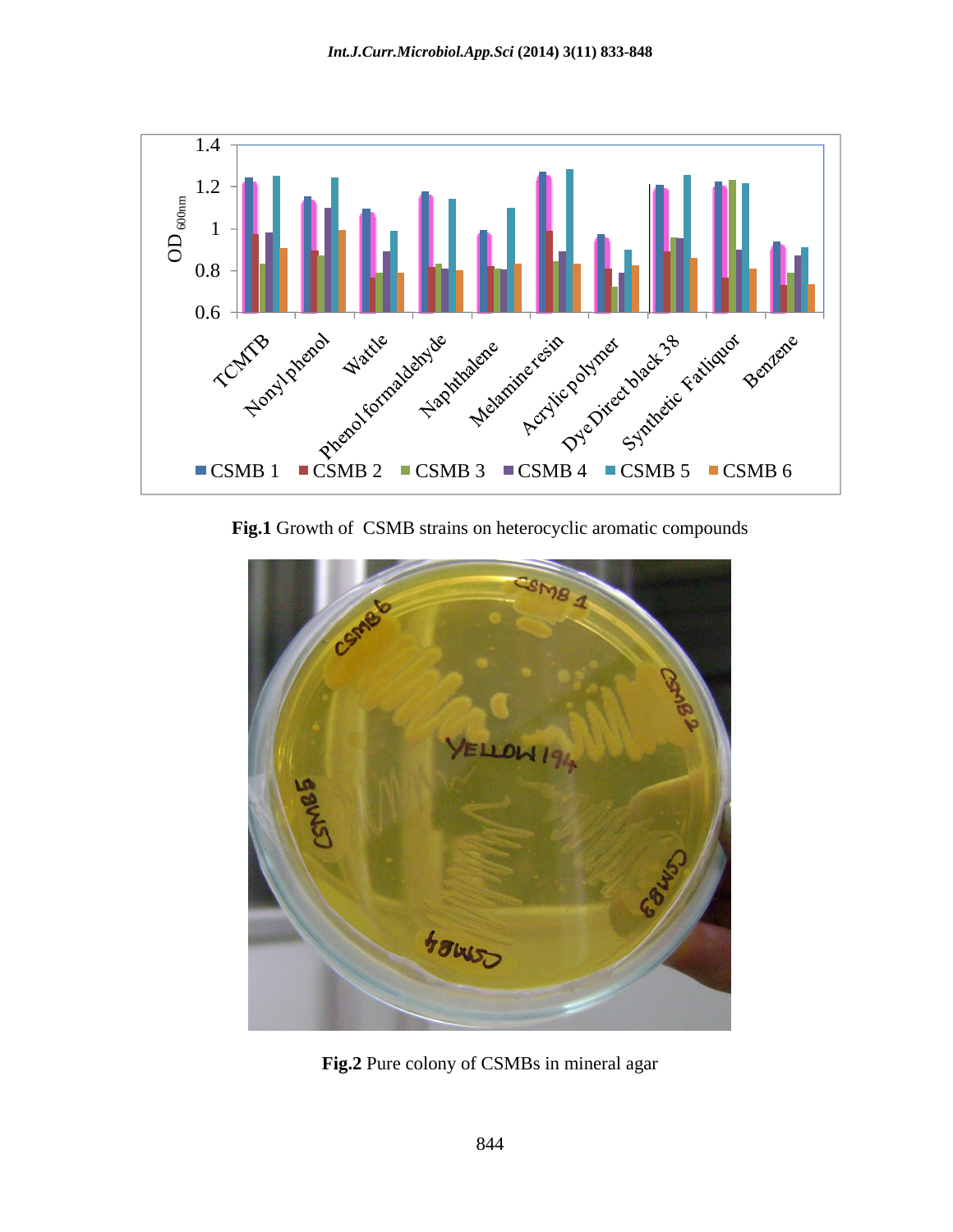

**Fig.1** Growth of CSMB strains on heterocyclic aromatic compounds



**Fig.2** Pure colony of CSMBs in mineral agar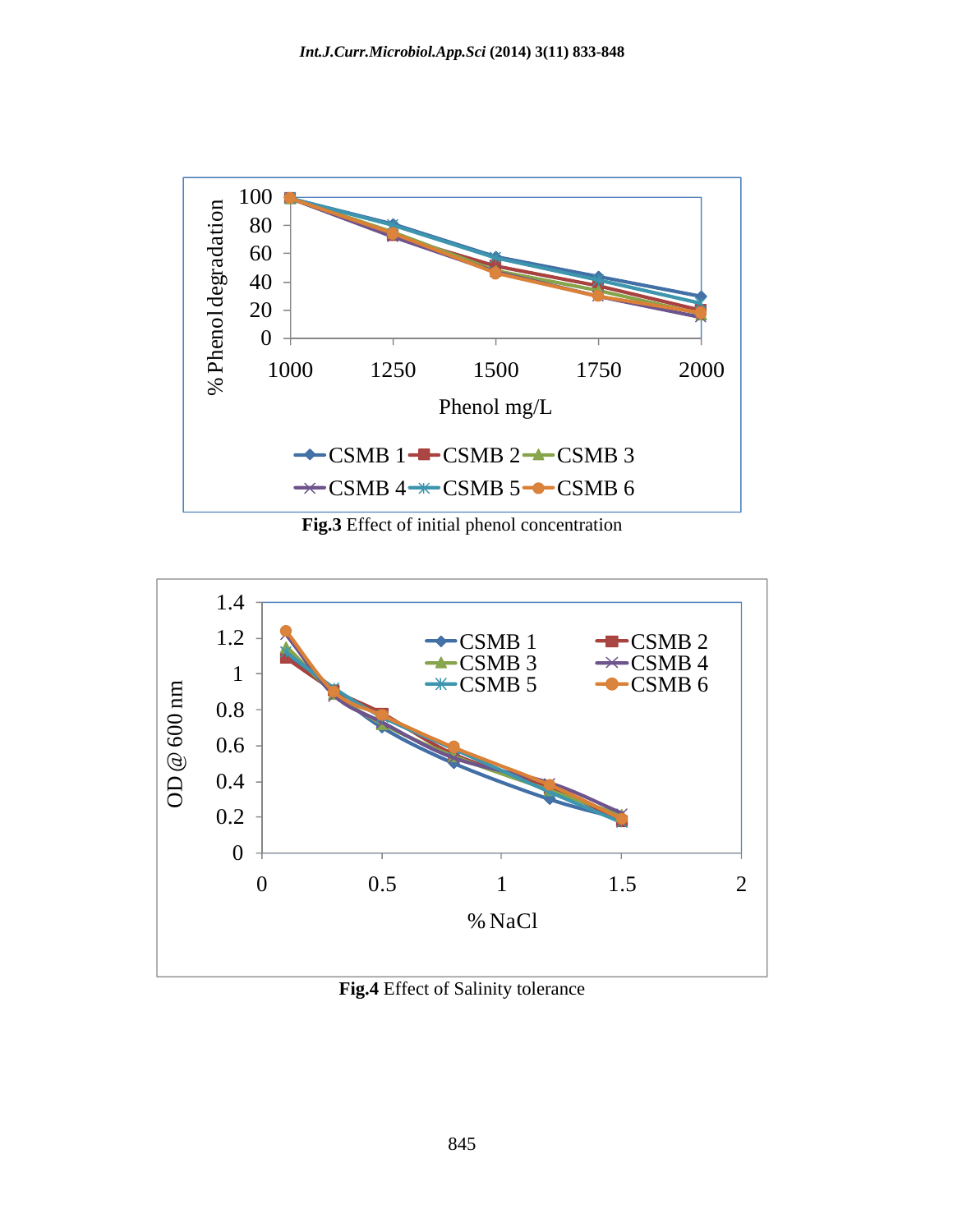

**Fig.3** Effect of initial phenol concentration



**Fig.4** Effect of Salinity tolerance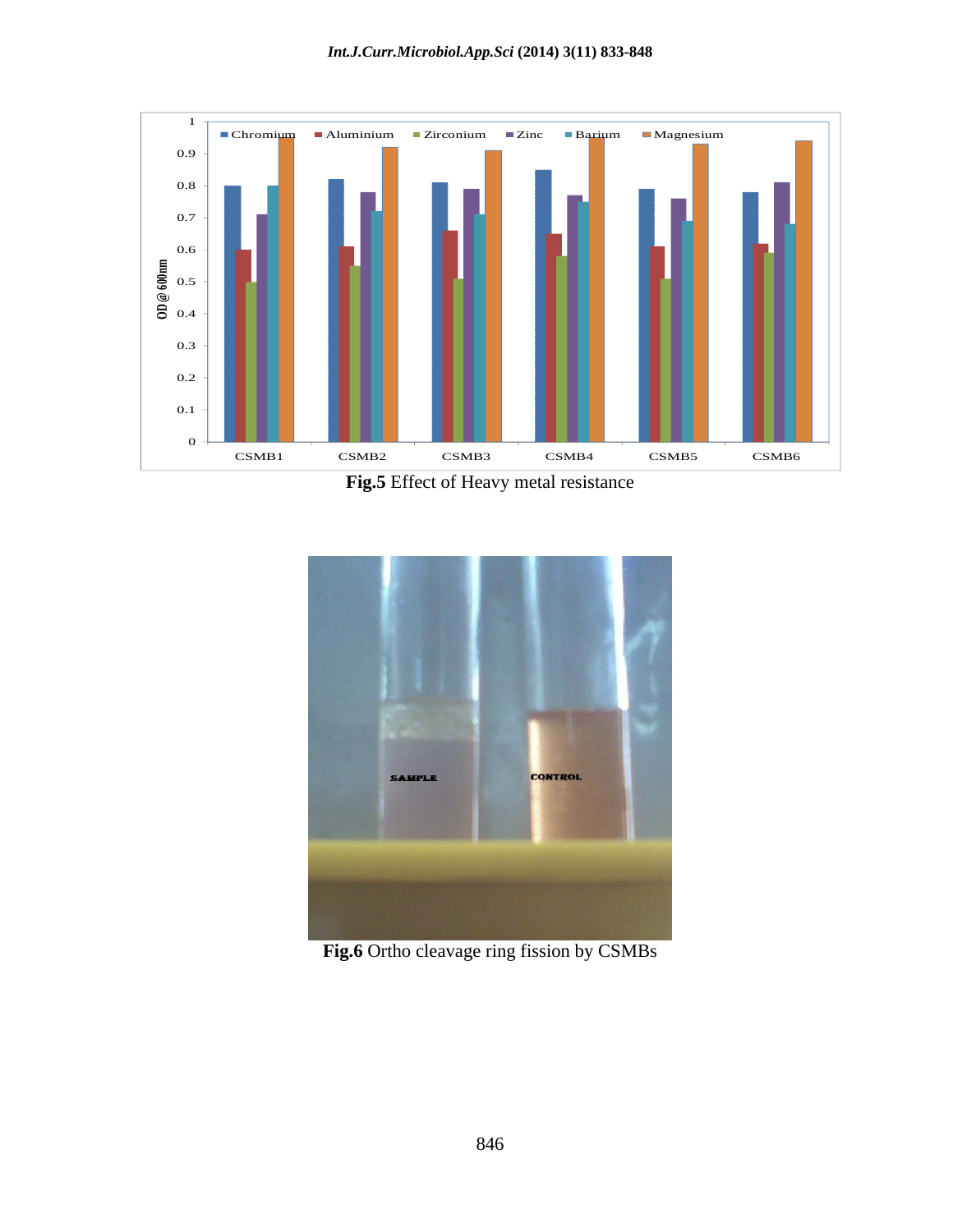

**Fig.5** Effect of Heavy metal resistance



**Fig.6** Ortho cleavage ring fission by CSMBs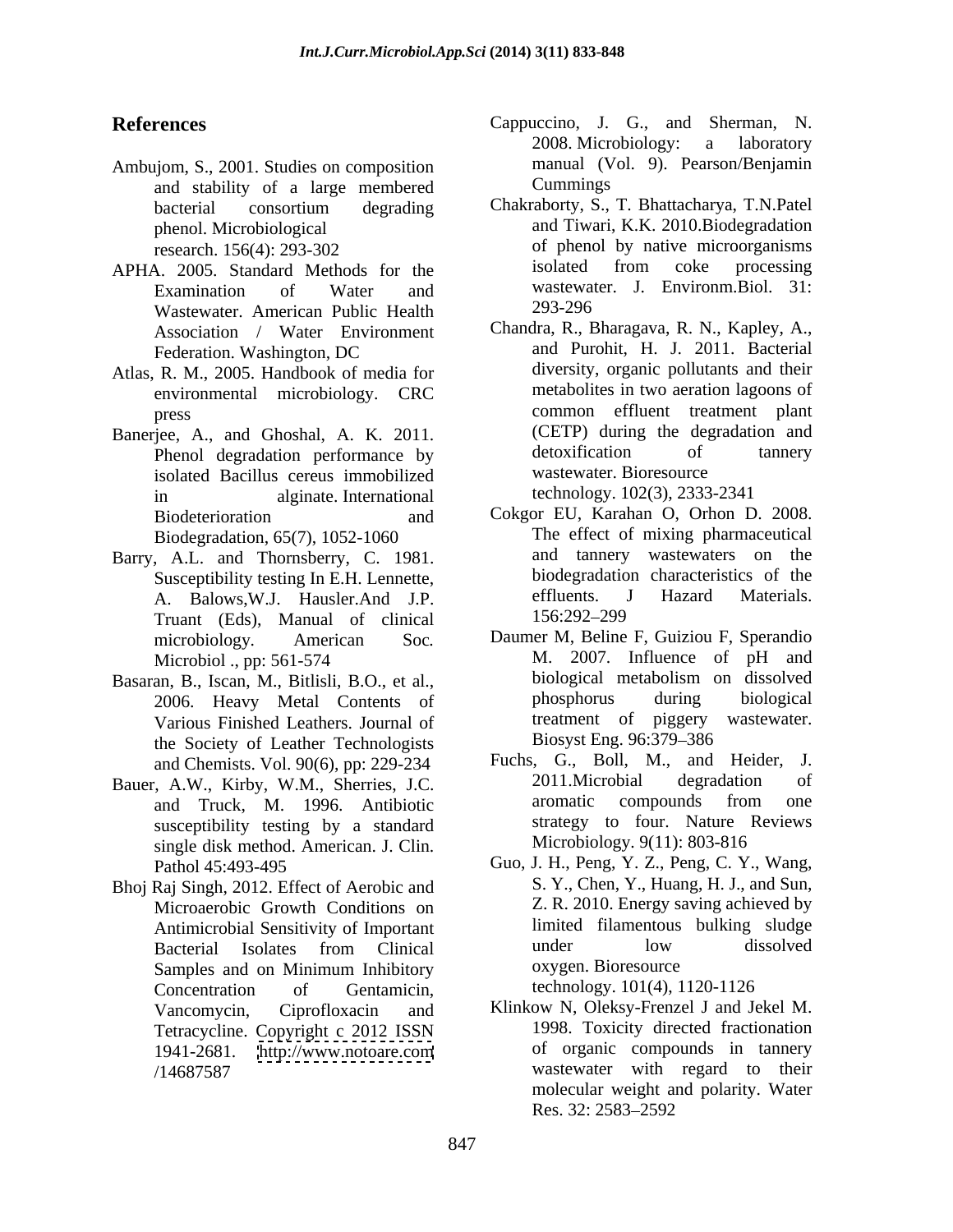- Ambujom, S., 2001. Studies on composition manual (V<br>and stability of a large membered Cummings and stability of a large membered
- Wastewater. American Public Health
- Atlas, R. M., 2005. Handbook of media for environmental microbiology. CRC
- Phenol degradation performance by isolated Bacillus cereus immobilized Biodegradation, 65(7), 1052-1060
- Barry, A.L. and Thornsberry, C. 1981. A. Balows, W.J. Hausler. And J.P. effluents. Truant (Eds), Manual of clinical
- Basaran, B., Iscan, M., Bitlisli, B.O., et al.,<br>2006 Heavy Metal Contents of the phosphorus during biological 2006. Heavy Metal Contents of Various Finished Leathers. Journal of the treatment of piggery<br>the Society of Leather Technologists Biosyst Eng. 96:379–386 the Society of Leather Technologists
- Bauer, A.W., Kirby, W.M., Sherries, J.C. 2011. Microbial degradation<br>and Truck M 1996 Antibiotic aromatic compounds from susceptibility testing by a standard single disk method. American. J. Clin.
- Bhoj Raj Singh, 2012. Effect of Aerobic and Microaerobic Growth Conditions on Concentration of Gentamicin, technology. 101(4), 1120-1126
- **References** Cappuccino, J. G., and Sherman, N. 2008. Microbiology: a laboratory manual (Vol. 9). Pearson/Benjamin **Cummings** and the contract of the contract of the contract of the contract of the contract of the contract of the contract of the contract of the contract of the contract of the contract of the contract of the contract of
- bacterial consortium degrading Chakraborty, S., T. Bhattacharya, T.N.Patel phenol. Microbiological and Tiwari, K.K. 2010.Biodegradation research. 156(4): 293-302 of phenol by native microorganisms APHA. 2005. Standard Methods for the isolated from coke processing Examination of Water and wastewater. J. Environm.Biol. 31: Chakraborty, S., T. Bhattacharya, T.N.Patel isolated from coke processing wastewater. J. Environm.Biol. 31: 293-296
- Association / Water Environment Chandra, R., Bharagava, R. N., Kapley, A., Federation. Washington, DC and Purohit, H. J. 2011. Bacterial press common effluent treatment plant Banerjee, A., and Ghoshal, A. K. 2011. (CETP) during the degradation and<br>Phenol degradation performance by detoxification of tannery in alginate. International technology. 102(3), 2333-2341 and Purohit, H. J. 2011. Bacterial diversity, organic pollutants and their metabolites in two aeration lagoons of (CETP) during the degradation and detoxification of tannery wastewater. Bioresource technology. 102(3), 2333-2341
	- Biodeterioration and Cokgor EU, Karahan O, Orhon D. 2008. Susceptibility testing In E.H. Lennette, biodegradation characteristics of the<br>A Balows W I Hausler And IP effluents. J Hazard Materials. The effect of mixing pharmaceutical and tannery wastewaters on the biodegradation characteristics of the effluents. J Hazard Materials. 156:292 299
	- microbiology*.* American Soc*.* Daumer M, Beline F, Guiziou F, Sperandio Microbiol ., pp: 561-574 M. 2007. Influence of pH and an. B., Iscan. M., Bitlisli, B.O., et al. biological metabolism on dissolved M. 2007. Influence of pH and biological metabolism on dissolved phosphorus during biological treatment of piggery wastewater. Biosyst Eng. 96:379 386
	- and Chemists. Vol. 90(6), pp: 229-234 Fuchs, G., Boll, M., and Heider, J.<br>A W. Kirby W.M. Sherries LC 2011. Microbial degradation of and Truck, M. 1996. Antibiotic Fuchs, G., Boll, M., and Heider, J. 2011.Microbial degradation of aromatic compounds from one strategy to four. Nature Reviews Microbiology. 9(11): 803-816
	- Pathol 45:493-495 Guo, J. H., Peng, Y. Z., Peng, C. Y., Wang, Antimicrobial Sensitivity of Important highlands in limited filamentous bulking sludge<br>Rectorial Isolates from Clinical under low dissolved Bacterial Isolates from Clinical Samples and on Minimum Inhibitory oxygen. Bioresource S. Y., Chen, Y., Huang, H. J., and Sun, Z. R. 2010. Energy saving achieved by limited filamentous bulking sludge under low dissolved oxygen. Bioresource

technology. 101(4), 1120-1126

Vancomycin, Ciprofloxacin and Klinkow N, Oleksy-Frenzel J and Jekel M. Tetracycline. Copyright c 2012 ISSN 1998. Toxicity directed fractionation 1941-2681. <http://www.notoare.com> /14687587 wastewater with regard to their 1998. Toxicity directed fractionation of organic compounds in tannery molecular weight and polarity. Water Res. 32: 2583–2592